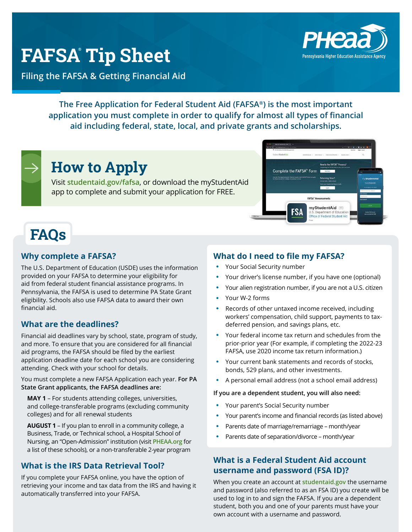## **FAFSA® Tip Sheet**

**Filing the FAFSA & Getting Financial Aid**

**The Free Application for Federal Student Aid (FAFSA®) is the most important application you must complete in order to qualify for almost all types of financial aid including federal, state, local, and private grants and scholarships.**

# **FAQs**

#### **Why complete a FAFSA?**

The U.S. Department of Education (USDE) uses the information provided on your FAFSA to determine your eligibility for aid from federal student financial assistance programs. In Pennsylvania, the FAFSA is used to determine PA State Grant eligibility. Schools also use FAFSA data to award their own financial aid.

#### **What are the deadlines?**

Financial aid deadlines vary by school, state, program of study, and more. To ensure that you are considered for all financial aid programs, the FAFSA should be filed by the earliest application deadline date for each school you are considering attending. Check with your school for details.

You must complete a new FAFSA Application each year. **For PA State Grant applicants, the FAFSA deadlines are:**

**MAY 1** – For students attending colleges, universities, and college-transferable programs (excluding community colleges) and for all renewal students

**AUGUST 1** – If you plan to enroll in a community college, a Business, Trade, or Technical school, a Hospital School of Nursing, an "Open-Admission" institution (visit **[PHEAA.org](https://www.pheaa.org/)** for a list of these schools), or a non-transferable 2-year program

#### **What is the IRS Data Retrieval Tool?**

If you complete your FAFSA online, you have the option of retrieving your income and tax data from the IRS and having it automatically transferred into your FAFSA.

#### **What do I need to file my FAFSA?**

- Your Social Security number
- Your driver's license number, if you have one (optional)
- Your alien registration number, if you are not a U.S. citizen
- Your W-2 forms
- Records of other untaxed income received, including workers' compensation, child support, payments to taxdeferred pension, and savings plans, etc.
- Your federal income tax return and schedules from the prior-prior year (For example, if completing the 2022-23 FAFSA, use 2020 income tax return information.)
- Your current bank statements and records of stocks, bonds, 529 plans, and other investments.
- A personal email address (not a school email address)

#### **If you are a dependent student, you will also need:**

- Your parent's Social Security number
- Your parent's income and financial records (as listed above)
- Parents date of marriage/remarriage month/year
- Parents date of separation/divorce month/year

#### **What is a Federal Student Aid account username and password (FSA ID)?**

When you create an account at **[studentaid.gov](https://studentaid.gov/)** the username and password (also referred to as an FSA ID) you create will be used to log in to and sign the FAFSA. If you are a dependent student, both you and one of your parents must have your own account with a username and password.





**How to Apply**

app to complete and submit your application for FREE.